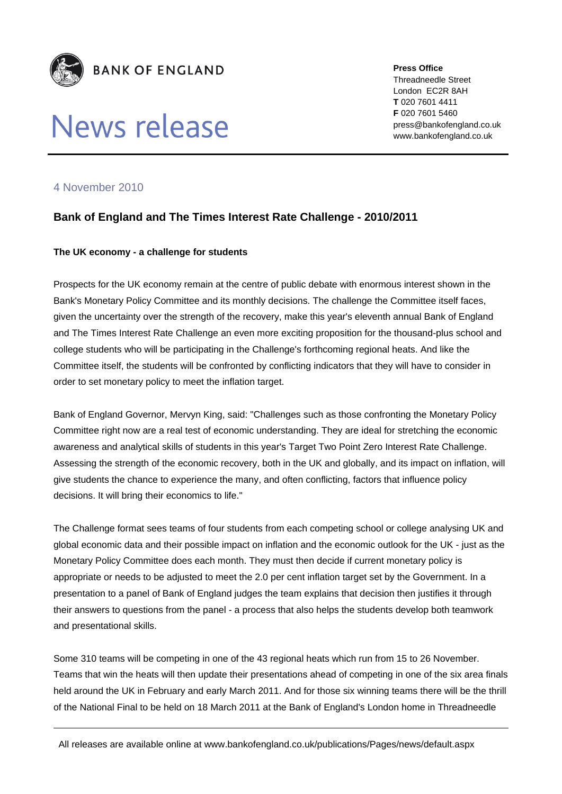

# News release

**Press Office** Threadneedle Street London EC2R 8AH **T** 020 7601 4411 **F** 020 7601 5460 press@bankofengland.co.uk www.bankofengland.co.uk

## 4 November 2010

## **Bank of England and The Times Interest Rate Challenge - 2010/2011**

### **The UK economy - a challenge for students**

Prospects for the UK economy remain at the centre of public debate with enormous interest shown in the Bank's Monetary Policy Committee and its monthly decisions. The challenge the Committee itself faces, given the uncertainty over the strength of the recovery, make this year's eleventh annual Bank of England and The Times Interest Rate Challenge an even more exciting proposition for the thousand-plus school and college students who will be participating in the Challenge's forthcoming regional heats. And like the Committee itself, the students will be confronted by conflicting indicators that they will have to consider in order to set monetary policy to meet the inflation target.

Bank of England Governor, Mervyn King, said: "Challenges such as those confronting the Monetary Policy Committee right now are a real test of economic understanding. They are ideal for stretching the economic awareness and analytical skills of students in this year's Target Two Point Zero Interest Rate Challenge. Assessing the strength of the economic recovery, both in the UK and globally, and its impact on inflation, will give students the chance to experience the many, and often conflicting, factors that influence policy decisions. It will bring their economics to life."

The Challenge format sees teams of four students from each competing school or college analysing UK and global economic data and their possible impact on inflation and the economic outlook for the UK - just as the Monetary Policy Committee does each month. They must then decide if current monetary policy is appropriate or needs to be adjusted to meet the 2.0 per cent inflation target set by the Government. In a presentation to a panel of Bank of England judges the team explains that decision then justifies it through their answers to questions from the panel - a process that also helps the students develop both teamwork and presentational skills.

Some 310 teams will be competing in one of the 43 regional heats which run from 15 to 26 November. Teams that win the heats will then update their presentations ahead of competing in one of the six area finals held around the UK in February and early March 2011. And for those six winning teams there will be the thrill of the National Final to be held on 18 March 2011 at the Bank of England's London home in Threadneedle